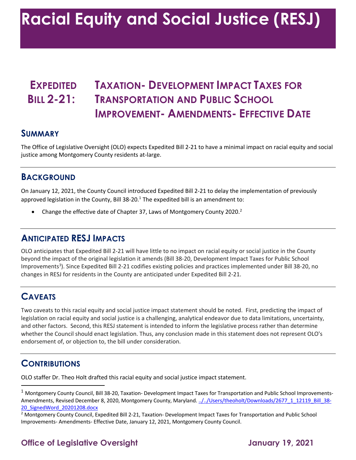# **EXPEDITED TAXATION- DEVELOPMENT IMPACT TAXES FOR BILL 2-21: TRANSPORTATION AND PUBLIC SCHOOL IMPROVEMENT- AMENDMENTS- EFFECTIVE DATE**

#### **SUMMARY**

 The Office of Legislative Oversight (OLO) expects Expedited Bill 2-21 to have a minimal impact on racial equity and social justice among Montgomery County residents at-large.

#### **BACKGROUND**

 On January 12, 2021, the County Council introduced Expedited Bill 2-21 to delay the implementation of previously approved legislation in the County, Bill 38-20. $<sup>1</sup>$  The expedited bill is an amendment to:</sup>

• Change the effective date of Chapter 37, Laws of Montgomery County 2020.<sup>2</sup>

## **ANTICIPATED RESJ IMPACTS**

 OLO anticipates that Expedited Bill 2-21 will have little to no impact on racial equity or social justice in the County beyond the impact of the original legislation it amends (Bill 38-20, Development Impact Taxes for Public School Improvements<sup>3</sup>). Since Expedited Bill 2-21 codifies existing policies and practices implemented under Bill 38-20, no changes in RESJ for residents in the County are anticipated under Expedited Bill 2-21.

## **CAVEATS**

 Two caveats to this racial equity and social justice impact statement should be noted. First, predicting the impact of and other factors. Second, this RESJ statement is intended to inform the legislative process rather than determine whether the Council should enact legislation. Thus, any conclusion made in this statement does not represent OLO's endorsement of, or objection to, the bill under consideration. legislation on racial equity and social justice is a challenging, analytical endeavor due to data limitations, uncertainty,

## **CONTRIBUTIONS**

OLO staffer Dr. Theo Holt drafted this racial equity and social justice impact statement.

## **Office of Legislative Oversight 19, 2021**

 $^1$  Montgomery County Council, Bill 38-20, Taxation- Development Impact Taxes for Transportation and Public School Improvements-Amendments, Revised December 8, 2020, Montgomery County, Maryland. ../../Users/theoholt/Downloads/2677\_1\_12119\_Bill\_38-20\_SignedWord\_20201208.docx

<sup>&</sup>lt;sup>2</sup> Montgomery County Council, Expedited Bill 2-21, Taxation- Development Impact Taxes for Transportation and Public School Improvements- Amendments- Effective Date, January 12, 2021, Montgomery County Council.